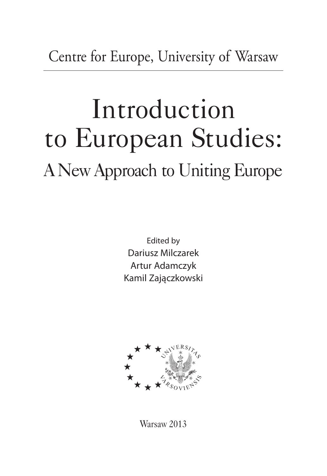Centre for Europe, University of Warsaw

## Introduction to European Studies: A New Approach to Uniting Europe

Edited by Dariusz Milczarek Artur Adamczyk Kamil Zaja˛czkowski



Warsaw 2013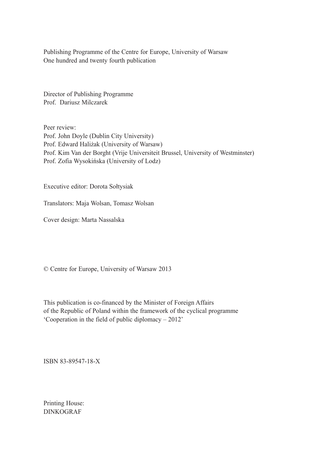Publishing Programme of the Centre for Europe, University of Warsaw One hundred and twenty fourth publication

Director of Publishing Programme Prof. Dariusz Milczarek

Peer review: Prof. John Doyle (Dublin City University) Prof. Edward Haliżak (University of Warsaw) Prof. Kim Van der Borght (Vrije Universiteit Brussel, University of Westminster) Prof. Zofia Wysokińska (University of Lodz)

Executive editor: Dorota Sołtysiak

Translators: Maja Wolsan, Tomasz Wolsan

Cover design: Marta Nassalska

© Centre for Europe, University of Warsaw 2013

This publication is co-financed by the Minister of Foreign Affairs of the Republic of Poland within the framework of the cyclical programme 'Cooperation in the field of public diplomacy – 2012'

ISBN 83-89547-18-X

Printing House: DINKOGRAF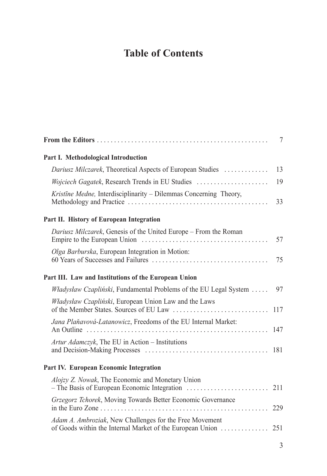## **Table of Contents**

|                                                                                                                      | 7   |
|----------------------------------------------------------------------------------------------------------------------|-----|
| Part I. Methodological Introduction                                                                                  |     |
| Dariusz Milczarek, Theoretical Aspects of European Studies                                                           | 13  |
|                                                                                                                      | 19  |
| Kristine Medne, Interdisciplinarity - Dilemmas Concerning Theory,                                                    | 33  |
| Part II. History of European Integration                                                                             |     |
| Dariusz Milczarek, Genesis of the United Europe - From the Roman                                                     | 57  |
| Olga Barburska, European Integration in Motion:                                                                      | 75  |
| Part III. Law and Institutions of the European Union                                                                 |     |
| <i>Władysław Czapliński</i> , Fundamental Problems of the EU Legal System                                            | 97  |
| Władysław Czapliński, European Union Law and the Laws                                                                | 117 |
| Jana Plaňavová-Latanowicz, Freedoms of the EU Internal Market:                                                       | 147 |
| Artur Adamczyk, The EU in Action – Institutions                                                                      | 181 |
| Part IV. European Economic Integration                                                                               |     |
| Alojzy Z. Nowak, The Economic and Monetary Union                                                                     | 211 |
| Grzegorz Tchorek, Moving Towards Better Economic Governance                                                          | 229 |
| Adam A. Ambroziak, New Challenges for the Free Movement<br>of Goods within the Internal Market of the European Union | 251 |
|                                                                                                                      |     |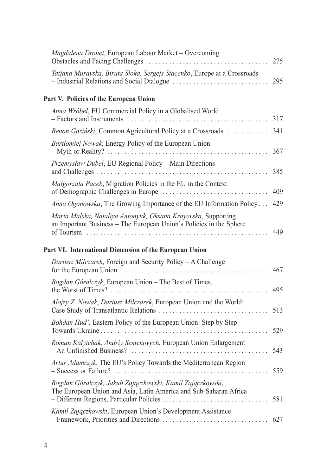| Magdalena Drouet, European Labour Market - Overcoming                                                                                                                                          | 275 |
|------------------------------------------------------------------------------------------------------------------------------------------------------------------------------------------------|-----|
| Tatjana Muravska, Biruta Sloka, Sergejs Stacenko, Europe at a Crossroads                                                                                                                       | 295 |
| Part V. Policies of the European Union                                                                                                                                                         |     |
| Anna Wróbel, EU Commercial Policy in a Globalised World                                                                                                                                        | 317 |
| Benon Gaziński, Common Agricultural Policy at a Crossroads                                                                                                                                     | 341 |
| Bartlomiej Nowak, Energy Policy of the European Union                                                                                                                                          | 367 |
| Przemysław Dubel, EU Regional Policy - Main Directions                                                                                                                                         | 385 |
| Małgorzata Pacek, Migration Policies in the EU in the Context                                                                                                                                  | 409 |
| <i>Anna Ogonowska</i> , The Growing Importance of the EU Information Policy                                                                                                                    | 429 |
| Marta Malska, Nataliya Antonyuk, Oksana Krayevska, Supporting<br>an Important Business – The European Union's Policies in the Sphere<br>Part VI. International Dimension of the European Union | 449 |
| Dariusz Milczarek, Foreign and Security Policy – A Challenge                                                                                                                                   | 467 |
| Bogdan Góralczyk, European Union - The Best of Times,                                                                                                                                          | 495 |
| <i>Alojzy Z. Nowak, Dariusz Milczarek, European Union and the World:</i>                                                                                                                       | 513 |
| Bohdan Hud', Eastern Policy of the European Union: Step by Step                                                                                                                                | 529 |
| Roman Kalytchak, Andriy Semenovych, European Union Enlargement                                                                                                                                 | 543 |
| Artur Adamczyk, The EU's Policy Towards the Mediterranean Region                                                                                                                               | 559 |
| Bogdan Góralczyk, Jakub Zajączkowski, Kamil Zajączkowski,<br>The European Union and Asia, Latin America and Sub-Saharan Africa<br>- Different Regions, Particular Policies                     | 581 |
| Kamil Zajączkowski, European Union's Development Assistance                                                                                                                                    | 627 |